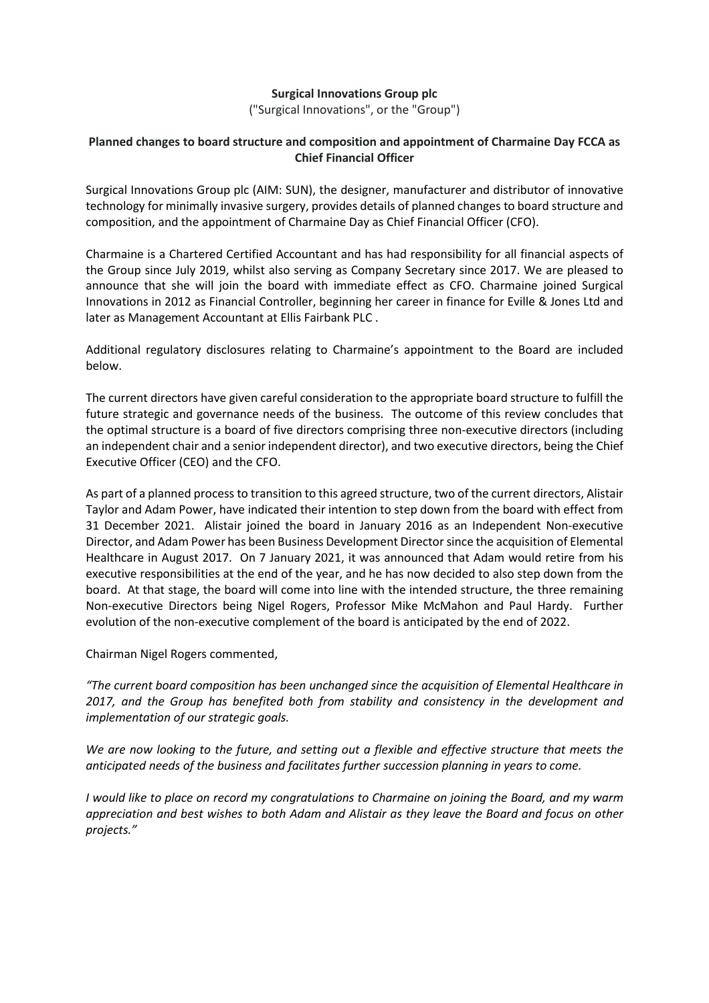## **Surgical Innovations Group plc**

("Surgical Innovations", or the "Group")

# **Planned changes to board structure and composition and appointment of Charmaine Day FCCA as Chief Financial Officer**

Surgical Innovations Group plc (AIM: SUN), the designer, manufacturer and distributor of innovative technology for minimally invasive surgery, provides details of planned changes to board structure and composition, and the appointment of Charmaine Day as Chief Financial Officer (CFO).

Charmaine is a Chartered Certified Accountant and has had responsibility for all financial aspects of the Group since July 2019, whilst also serving as Company Secretary since 2017. We are pleased to announce that she will join the board with immediate effect as CFO. Charmaine joined Surgical Innovations in 2012 as Financial Controller, beginning her career in finance for Eville & Jones Ltd and later as Management Accountant at Ellis Fairbank PLC .

Additional regulatory disclosures relating to Charmaine's appointment to the Board are included below.

The current directors have given careful consideration to the appropriate board structure to fulfill the future strategic and governance needs of the business. The outcome of this review concludes that the optimal structure is a board of five directors comprising three non-executive directors (including an independent chair and a senior independent director), and two executive directors, being the Chief Executive Officer (CEO) and the CFO.

As part of a planned process to transition to this agreed structure, two of the current directors, Alistair Taylor and Adam Power, have indicated their intention to step down from the board with effect from 31 December 2021. Alistair joined the board in January 2016 as an Independent Non-executive Director, and Adam Power has been Business Development Directorsince the acquisition of Elemental Healthcare in August 2017. On 7 January 2021, it was announced that Adam would retire from his executive responsibilities at the end of the year, and he has now decided to also step down from the board. At that stage, the board will come into line with the intended structure, the three remaining Non-executive Directors being Nigel Rogers, Professor Mike McMahon and Paul Hardy. Further evolution of the non-executive complement of the board is anticipated by the end of 2022.

Chairman Nigel Rogers commented,

*"The current board composition has been unchanged since the acquisition of Elemental Healthcare in 2017, and the Group has benefited both from stability and consistency in the development and implementation of our strategic goals.*

We are now looking to the future, and setting out a flexible and effective structure that meets the *anticipated needs of the business and facilitates further succession planning in years to come.*

*I would like to place on record my congratulations to Charmaine on joining the Board, and my warm appreciation and best wishes to both Adam and Alistair as they leave the Board and focus on other projects."*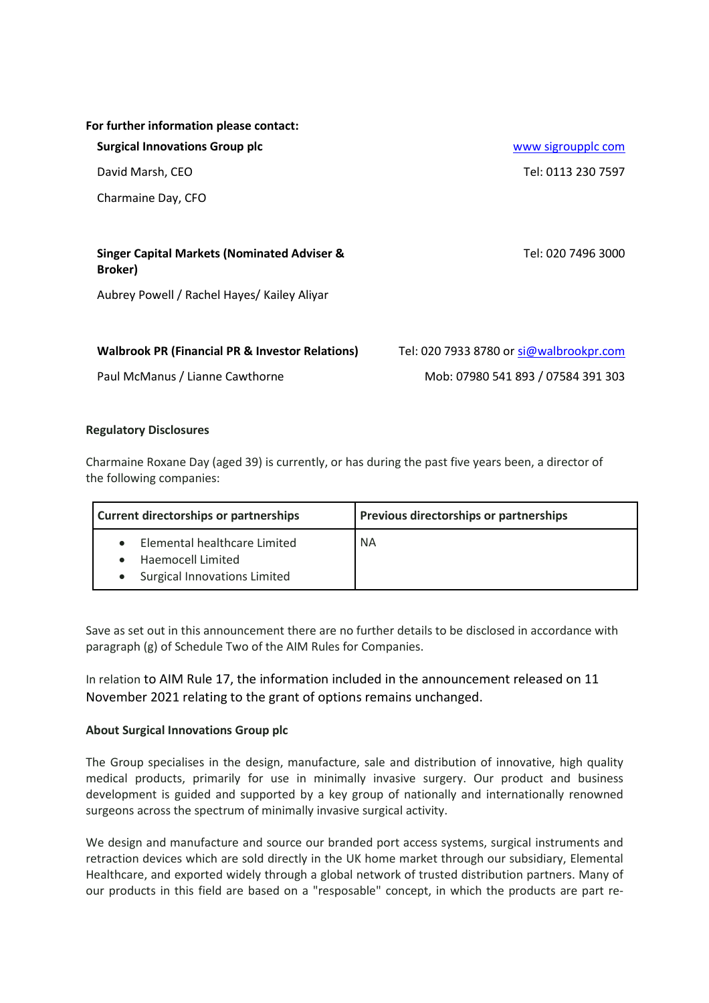|  |  | For further information please contact: |  |  |
|--|--|-----------------------------------------|--|--|
|--|--|-----------------------------------------|--|--|

**Surgical Innovations Group plc** www [sigroupplc](http://www.sigroupplc.com/) com

Charmaine Day, CFO

## **Singer Capital Markets (Nominated Adviser & Broker)**

Aubrey Powell / Rachel Hayes/ Kailey Aliyar

#### **Walbrook PR (Financial PR & Investor Relations)** Tel: 020 7933 8780 or [si@walbrookpr.com](mailto:si@walbrookpr.com)

## **Regulatory Disclosures**

Charmaine Roxane Day (aged 39) is currently, or has during the past five years been, a director of the following companies:

| <b>Current directorships or partnerships</b>                                             | <b>Previous directorships or partnerships</b> |  |
|------------------------------------------------------------------------------------------|-----------------------------------------------|--|
| Elemental healthcare Limited<br>Haemocell Limited<br><b>Surgical Innovations Limited</b> | <b>NA</b>                                     |  |

Save as set out in this announcement there are no further details to be disclosed in accordance with paragraph (g) of Schedule Two of the AIM Rules for Companies.

In relation to AIM Rule 17, the information included in the announcement released on 11 November 2021 relating to the grant of options remains unchanged.

#### **About Surgical Innovations Group plc**

The Group specialises in the design, manufacture, sale and distribution of innovative, high quality medical products, primarily for use in minimally invasive surgery. Our product and business development is guided and supported by a key group of nationally and internationally renowned surgeons across the spectrum of minimally invasive surgical activity.

We design and manufacture and source our branded port access systems, surgical instruments and retraction devices which are sold directly in the UK home market through our subsidiary, Elemental Healthcare, and exported widely through a global network of trusted distribution partners. Many of our products in this field are based on a "resposable" concept, in which the products are part re-

David Marsh, CEO Tel: 0113 230 7597

Tel: 020 7496 3000

Paul McManus / Lianne Cawthorne Mob: 07980 541 893 / 07584 391 303